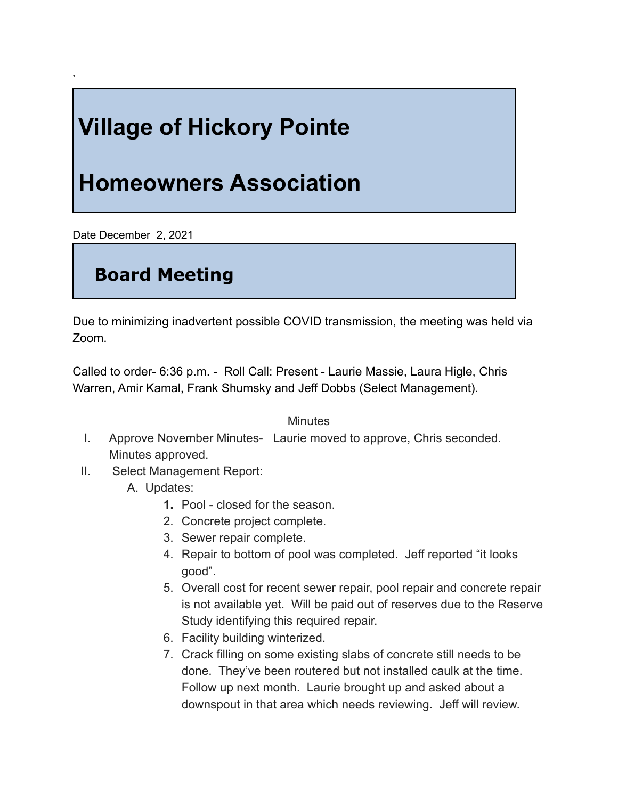## **Village of Hickory Pointe**

## **Homeowners Association**

Date December 2, 2021

`

## **Board Meeting**

Due to minimizing inadvertent possible COVID transmission, the meeting was held via Zoom.

Called to order- 6:36 p.m. - Roll Call: Present - Laurie Massie, Laura Higle, Chris Warren, Amir Kamal, Frank Shumsky and Jeff Dobbs (Select Management).

## **Minutes**

- I. Approve November Minutes- Laurie moved to approve, Chris seconded. Minutes approved.
- II. Select Management Report:
	- A. Updates:
		- **1.** Pool closed for the season.
		- 2. Concrete project complete.
		- 3. Sewer repair complete.
		- 4. Repair to bottom of pool was completed. Jeff reported "it looks good".
		- 5. Overall cost for recent sewer repair, pool repair and concrete repair is not available yet. Will be paid out of reserves due to the Reserve Study identifying this required repair.
		- 6. Facility building winterized.
		- 7. Crack filling on some existing slabs of concrete still needs to be done. They've been routered but not installed caulk at the time. Follow up next month. Laurie brought up and asked about a downspout in that area which needs reviewing. Jeff will review.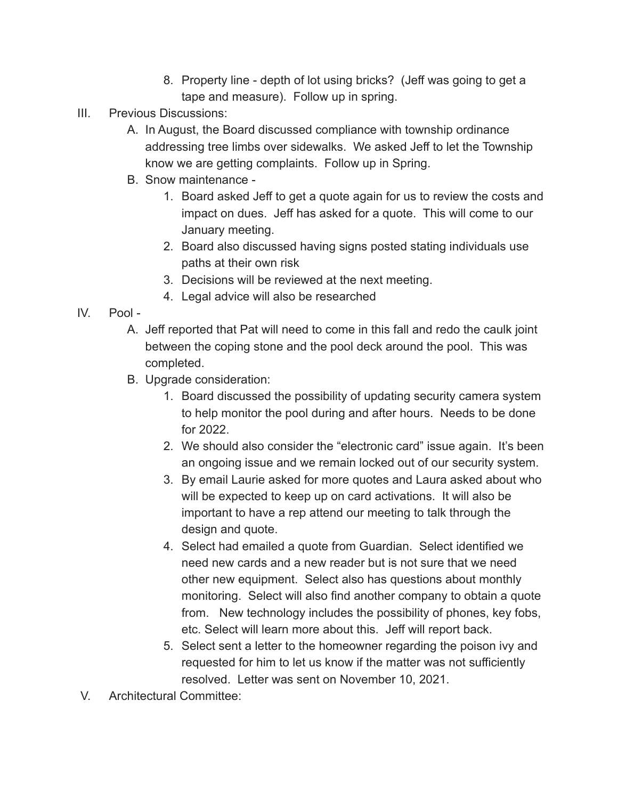- 8. Property line depth of lot using bricks? (Jeff was going to get a tape and measure). Follow up in spring.
- III. Previous Discussions:
	- A. In August, the Board discussed compliance with township ordinance addressing tree limbs over sidewalks. We asked Jeff to let the Township know we are getting complaints. Follow up in Spring.
	- B. Snow maintenance
		- 1. Board asked Jeff to get a quote again for us to review the costs and impact on dues. Jeff has asked for a quote. This will come to our January meeting.
		- 2. Board also discussed having signs posted stating individuals use paths at their own risk
		- 3. Decisions will be reviewed at the next meeting.
		- 4. Legal advice will also be researched
- IV. Pool
	- A. Jeff reported that Pat will need to come in this fall and redo the caulk joint between the coping stone and the pool deck around the pool. This was completed.
	- B. Upgrade consideration:
		- 1. Board discussed the possibility of updating security camera system to help monitor the pool during and after hours. Needs to be done for 2022.
		- 2. We should also consider the "electronic card" issue again. It's been an ongoing issue and we remain locked out of our security system.
		- 3. By email Laurie asked for more quotes and Laura asked about who will be expected to keep up on card activations. It will also be important to have a rep attend our meeting to talk through the design and quote.
		- 4. Select had emailed a quote from Guardian. Select identified we need new cards and a new reader but is not sure that we need other new equipment. Select also has questions about monthly monitoring. Select will also find another company to obtain a quote from. New technology includes the possibility of phones, key fobs, etc. Select will learn more about this. Jeff will report back.
		- 5. Select sent a letter to the homeowner regarding the poison ivy and requested for him to let us know if the matter was not sufficiently resolved. Letter was sent on November 10, 2021.
- V. Architectural Committee: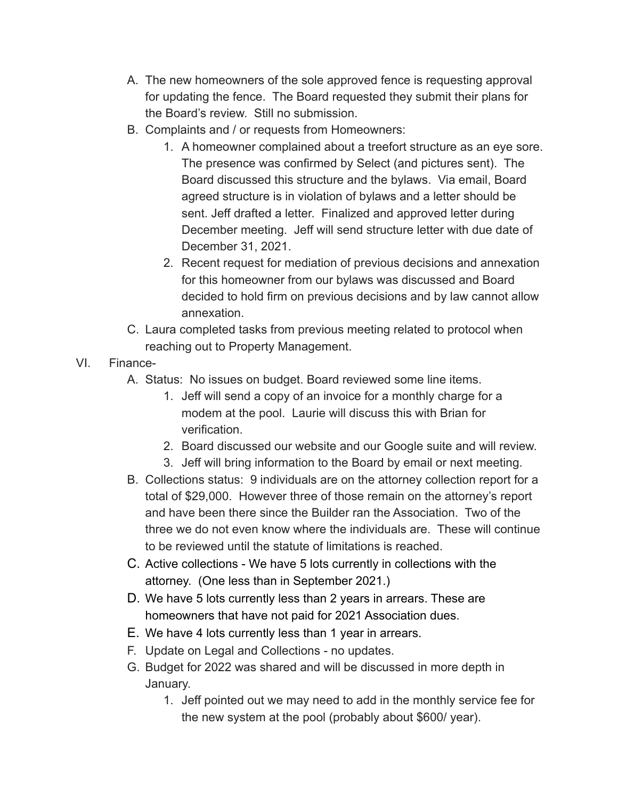- A. The new homeowners of the sole approved fence is requesting approval for updating the fence. The Board requested they submit their plans for the Board's review. Still no submission.
- B. Complaints and / or requests from Homeowners:
	- 1. A homeowner complained about a treefort structure as an eye sore. The presence was confirmed by Select (and pictures sent). The Board discussed this structure and the bylaws. Via email, Board agreed structure is in violation of bylaws and a letter should be sent. Jeff drafted a letter. Finalized and approved letter during December meeting. Jeff will send structure letter with due date of December 31, 2021.
	- 2. Recent request for mediation of previous decisions and annexation for this homeowner from our bylaws was discussed and Board decided to hold firm on previous decisions and by law cannot allow annexation.
- C. Laura completed tasks from previous meeting related to protocol when reaching out to Property Management.
- VI. Finance-
	- A. Status: No issues on budget. Board reviewed some line items.
		- 1. Jeff will send a copy of an invoice for a monthly charge for a modem at the pool. Laurie will discuss this with Brian for verification.
		- 2. Board discussed our website and our Google suite and will review.
		- 3. Jeff will bring information to the Board by email or next meeting.
	- B. Collections status: 9 individuals are on the attorney collection report for a total of \$29,000. However three of those remain on the attorney's report and have been there since the Builder ran the Association. Two of the three we do not even know where the individuals are. These will continue to be reviewed until the statute of limitations is reached.
	- C. Active collections We have 5 lots currently in collections with the attorney. (One less than in September 2021.)
	- D. We have 5 lots currently less than 2 years in arrears. These are homeowners that have not paid for 2021 Association dues.
	- E. We have 4 lots currently less than 1 year in arrears.
	- F. Update on Legal and Collections no updates.
	- G. Budget for 2022 was shared and will be discussed in more depth in January.
		- 1. Jeff pointed out we may need to add in the monthly service fee for the new system at the pool (probably about \$600/ year).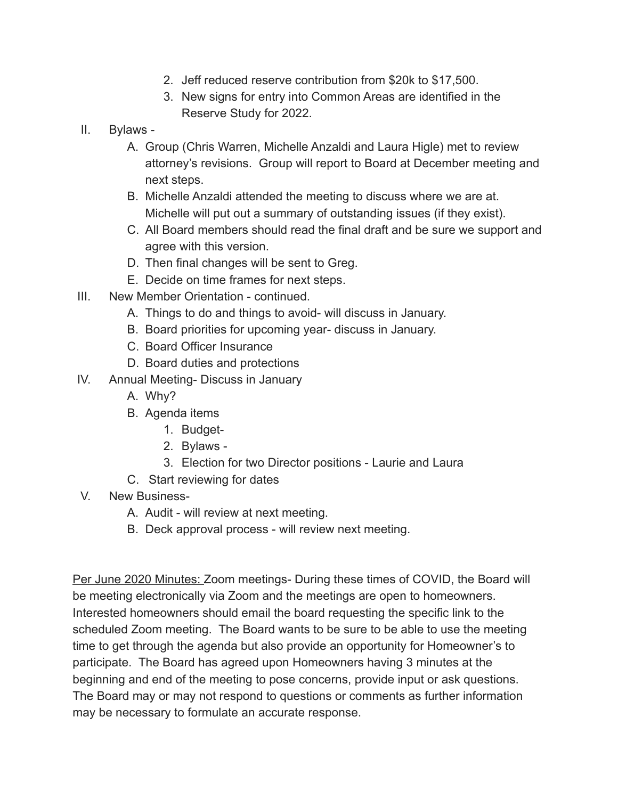- 2. Jeff reduced reserve contribution from \$20k to \$17,500.
- 3. New signs for entry into Common Areas are identified in the Reserve Study for 2022.
- II. Bylaws
	- A. Group (Chris Warren, Michelle Anzaldi and Laura Higle) met to review attorney's revisions. Group will report to Board at December meeting and next steps.
	- B. Michelle Anzaldi attended the meeting to discuss where we are at. Michelle will put out a summary of outstanding issues (if they exist).
	- C. All Board members should read the final draft and be sure we support and agree with this version.
	- D. Then final changes will be sent to Greg.
	- E. Decide on time frames for next steps.
- III. New Member Orientation continued.
	- A. Things to do and things to avoid- will discuss in January.
	- B. Board priorities for upcoming year- discuss in January.
	- C. Board Officer Insurance
	- D. Board duties and protections
- IV. Annual Meeting- Discuss in January
	- A. Why?
	- B. Agenda items
		- 1. Budget-
		- 2. Bylaws -
		- 3. Election for two Director positions Laurie and Laura
	- C. Start reviewing for dates
- V. New Business-
	- A. Audit will review at next meeting.
	- B. Deck approval process will review next meeting.

Per June 2020 Minutes: Zoom meetings- During these times of COVID, the Board will be meeting electronically via Zoom and the meetings are open to homeowners. Interested homeowners should email the board requesting the specific link to the scheduled Zoom meeting. The Board wants to be sure to be able to use the meeting time to get through the agenda but also provide an opportunity for Homeowner's to participate. The Board has agreed upon Homeowners having 3 minutes at the beginning and end of the meeting to pose concerns, provide input or ask questions. The Board may or may not respond to questions or comments as further information may be necessary to formulate an accurate response.